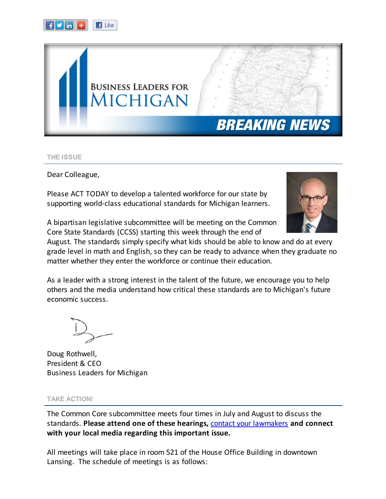



THE ISSUE

Dear Colleague,

Please ACT TODAY to develop a talented workforce for our state by supporting world-class educational standards for Michigan learners.



A bipartisan legislative subcommittee will be meeting on the Common Core State Standards (CCSS) starting this week through the end of

August. The standards simply specify what kids should be able to know and do at every grade level in math and English, so they can be ready to advance when they graduate no matter whether they enter the workforce or continue their education.

As a leader with a strong interest in the talent of the future, we encourage you to help others and the media understand how critical these standards are to Michigan's future economic success.

Doug Rothwell, President & CEO Business Leaders for Michigan

## TAKE ACTION!

The Common Core subcommittee meets four times in July and August to discuss the standards. Please attend one of these hearings, contact your [lawmakers](http://r20.rs6.net/tn.jsp?e=001wi_Xoc6Np6QEY0KqI-OJ1XZZw5sXU9y12xV9c3pAuByZl30_qES1yvdAgafFvfhRXKxQiMCmnme4t02JBWFNmkl74gAIzF6WjAVRBtZjewnTxzyDE9Auv8V6x1OmhnrD_c8g2UADRWJuJhMgZZ708WCjRRErDeySrm1DPujAWAoO4ZzUui9VbKhpA-u2cJgChfhlK95gfA_oTdP_zxZTmNonfjV4W_tr) and connect with your local media regarding this important issue.

All meetings will take place in room 521 of the House Office Building in downtown Lansing. The schedule of meetings is as follows: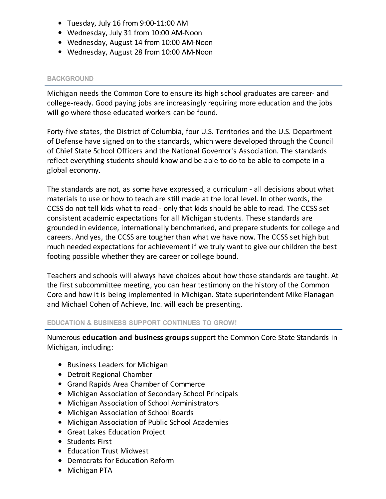- Tuesday, July 16 from 9:00-11:00 AM
- Wednesday, July 31 from 10:00 AM-Noon
- Wednesday, August 14 from 10:00 AM-Noon
- Wednesday, August 28 from 10:00 AM-Noon

# BACKGROUND

Michigan needs the Common Core to ensure its high school graduates are career- and college-ready. Good paying jobs are increasingly requiring more education and the jobs will go where those educated workers can be found.

Forty-five states, the District of Columbia, four U.S. Territories and the U.S. Department of Defense have signed on to the standards, which were developed through the Council of Chief State School Officers and the National Governor's Association. The standards reflect everything students should know and be able to do to be able to compete in a global economy.

The standards are not, as some have expressed, a curriculum - all decisions about what materials to use or how to teach are still made at the local level. In other words, the CCSS do not tell kids what to read - only that kids should be able to read. The CCSS set consistent academic expectations for all Michigan students. These standards are grounded in evidence, internationally benchmarked, and prepare students for college and careers. And yes, the CCSS are tougher than what we have now. The CCSS set high but much needed expectations for achievement if we truly want to give our children the best footing possible whether they are career or college bound.

Teachers and schools will always have choices about how those standards are taught. At the first subcommittee meeting, you can hear testimony on the history of the Common Core and how it is being implemented in Michigan. State superintendent Mike Flanagan and Michael Cohen of Achieve, Inc. will each be presenting.

# EDUCATION & BUSINESS SUPPORT CONTINUES TO GROW!

Numerous education and business groups support the Common Core State Standards in Michigan, including:

- Business Leaders for Michigan
- Detroit Regional Chamber
- Grand Rapids Area Chamber of Commerce
- Michigan Association of Secondary School Principals
- Michigan Association of School Administrators
- Michigan Association of School Boards
- Michigan Association of Public School Academies
- Great Lakes Education Project
- Students First
- Education Trust Midwest
- Democrats for Education Reform
- Michigan PTA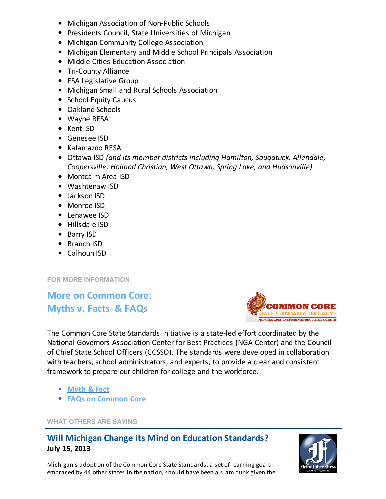- Michigan Association of Non-Public Schools
- Presidents Council, State Universities of Michigan
- Michigan Community College Association
- Michigan Elementary and Middle School Principals Association
- Middle Cities Education Association
- Tri-County Alliance
- ESA Legislative Group
- Michigan Small and Rural Schools Association
- School Equity Caucus
- Oakland Schools
- Wayne RESA
- Kent ISD
- Genesee ISD
- Kalamazoo RESA
- Ottawa ISD (and its member districts including Hamilton, Saugatuck, Allendale, Coopersville, Holland Christian, West Ottawa, Spring Lake, and Hudsonville)
- Montcalm Area ISD
- Washtenaw ISD
- Jackson ISD
- Monroe ISD
- Lenawee ISD
- Hillsdale ISD
- Barry ISD
- Branch ISD
- Calhoun ISD

FOR MORE INFORMATION

More on Common Core: Myths v. Facts & FAQs



The Common Core State Standards Initiative is a state-led effort coordinated by the National Governors Association Center for Best Practices (NGA Center) and the Council of Chief State School Officers (CCSSO). The standards were developed in collaboration with teachers, school administrators, and experts, to provide a clear and consistent framework to prepare our children for college and the workforce.

- [Myth](http://r20.rs6.net/tn.jsp?e=001wi_Xoc6Np6QEY0KqI-OJ1XZZw5sXU9y12xV9c3pAuByZl30_qES1yvdAgafFvfhRXKxQiMCmnme4t02JBWFNmsESXbRCd_jERmbwPMMj9dfW9qKf0E4ugt52LydthoZlxw7QsF3ETVcK9aE_5M1AV0_-x6B7fnYG) & Fact
- FAQs on [Common](http://r20.rs6.net/tn.jsp?e=001wi_Xoc6Np6QEY0KqI-OJ1XZZw5sXU9y12xV9c3pAuByZl30_qES1yvdAgafFvfhRXKxQiMCmnme4t02JBWFNmsESXbRCd_jERmbwPMMj9dfW9qKf0E4ugt52LydthoZlkgXoBfolaC2-TxAOnkH7sRK5XKEvPXNdU3oxLDncAX7yT84QC3pdoQ==) Core

WHAT OTHERS ARE SAYING

# Will Michigan Change its Mind on Education Standards? July 15, 2013



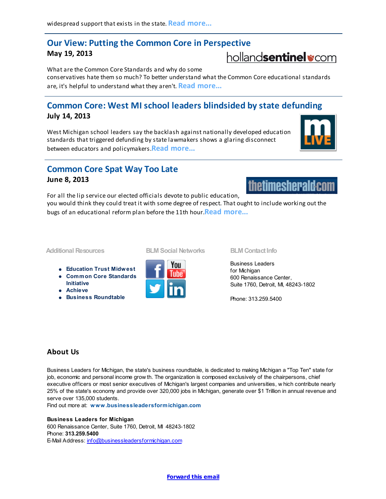# Our View: Putting the Common Core in Perspective

## May 19, 2013

What are the Common Core Standards and why do some conservatives hate them so much? To better understand what the Common Core educational standards are, it's helpful to understand what they aren't. **Read [more...](http://r20.rs6.net/tn.jsp?e=001wi_Xoc6Np6QEY0KqI-OJ1XZZw5sXU9y12xV9c3pAuByZl30_qES1yvdAgafFvfhRXKxQiMCmnme4t02JBWFNmlxEhIJjOxhhZltM3Q1sXRTyYuIg9nfacj6kRvLtGJgkAescBuJ421-kt1Ji7EEV3z5OSbEiqC6TSw-9k5o55I8MCLmqTXqMqM9EDo8KsRJAu8RIkus3L5l1oYBSzOs9odJ79luYPXZXbvI03D7IsHg=)** 

# Common Core: West MI school leaders blindsided by state defunding July 14, 2013

West Michigan school leaders say the backlash against nationally developed education standards that triggered defunding by state lawmakers shows a glaring disconnect between educators and policymakers **Read [more..](http://r20.rs6.net/tn.jsp?e=001wi_Xoc6Np6QEY0KqI-OJ1XZZw5sXU9y12xV9c3pAuByZl30_qES1yvdAgafFvfhRXKxQiMCmnme4t02JBWFNmol1C7RQ5Ts1e_YI6JPliML3Vliu-155A4FlxN_dvdcKV8AuGyCy6PJEtRiGsetAsnoYyfLfRZCF01hNF7RzcdGDK1C-_CEtaH3Nuo7G10UJKk_8pJP550X_RqY69kQs6cMNO6o7SQ4n).** 

# Common Core Spat Way Too Late

For all the lip service our elected officials devote to public education,

## June 8, 2013

you would think they could treat it with some degree of respect. That ought to include working out the bugs of an educational reform plan before the 11th hour. Read [more...](http://r20.rs6.net/tn.jsp?e=001wi_Xoc6Np6QEY0KqI-OJ1XZZw5sXU9y12xV9c3pAuByZl30_qES1yvdAgafFvfhRXKxQiMCmnme4t02JBWFNmj9-UovG59kfPqPktE511-ZcHMY35Ii1eqlJUqNJLS-6bP_e_X5aRN7u1MBlGu68Bjjctzn4ZQ0yttdptqn2XWwrctnHF3xXXSG-qV8HZIzi3FnYbd4p3y2Qdax1L3jFcYoNyaZiMctgSum4y7EcqY5Q2s-CyB7dsD_AahcJbiPD)

### Additional Resources

- [Education](http://r20.rs6.net/tn.jsp?e=001wi_Xoc6Np6QEY0KqI-OJ1XZZw5sXU9y12xV9c3pAuByZl30_qES1yvdAgafFvfhRXKxQiMCmnme4t02JBWFNmr3J68NLraN9GjbMNQui0kZScDaODVq010HipiMuF8KK) Trust Midwest
- Common Core [Standards](http://r20.rs6.net/tn.jsp?e=001wi_Xoc6Np6QEY0KqI-OJ1XZZw5sXU9y12xV9c3pAuByZl30_qES1yvdAgafFvfhRXKxQiMCmnme4t02JBWFNmsESXbRCd_jERmbwPMMj9dfW9qKf0E4ugrqxmuVlwXIn) Initiative
- [Achieve](http://r20.rs6.net/tn.jsp?e=001wi_Xoc6Np6QEY0KqI-OJ1XZZw5sXU9y12xV9c3pAuByZl30_qES1yvdAgafFvfhRXKxQiMCmnme4t02JBWFNmtHyT6sIKpwDoFtDSAqFywq0Q6YbMVL8G-hWv7YfoLXnUWPcwP91cxQ=)
- **Business [Roundtable](http://r20.rs6.net/tn.jsp?e=001wi_Xoc6Np6QEY0KqI-OJ1XZZw5sXU9y12xV9c3pAuByZl30_qES1yvdAgafFvfhRXKxQiMCmnme4t02JBWFNmiV6zixPC9Z2_Fr6iTv30m7_cJWao8eMHQS_xW8ZlxDbSa2vVF8O7k6KkWyHqlaeNPW2nZAVFa3BdMlA5omDPgs=)**



#### BLM Social Networks BLM Contact Info

Business Leaders for Michigan 600 Renaissance Center, Suite 1760, Detroit, MI, 48243-1802

Phone: 313.259.5400

# About Us

Business Leaders for Michigan, the state's business roundtable, is dedicated to making Michigan a "Top Ten" state for job, economic and personal income grow th. The organization is composed exclusively of the chairpersons, chief executive officers or most senior executives of Michigan's largest companies and universities, w hich contribute nearly 25% of the state's economy and provide over 320,000 jobs in Michigan, generate over \$1 Trillion in annual revenue and serve over 135,000 students.

Find out more at: [www.businessleadersformichigan.com](http://www.businessleadersformichigan.com/)

### Business Leaders for Michigan

600 Renaissance Center, Suite 1760, Detroit, MI 48243-1802 Phone: 313.259.5400 E-Mail Address: [info@businessleadersformichigan.com](mailto:info@businessleadersformichigan.com)

[Forward](http://ui.constantcontact.com/sa/fwtf.jsp?llr=ocmsyfeab&m=1104000135246&ea=jenniferh@businessleadersformichigan.com&a=1114167374379&id=preview) this email